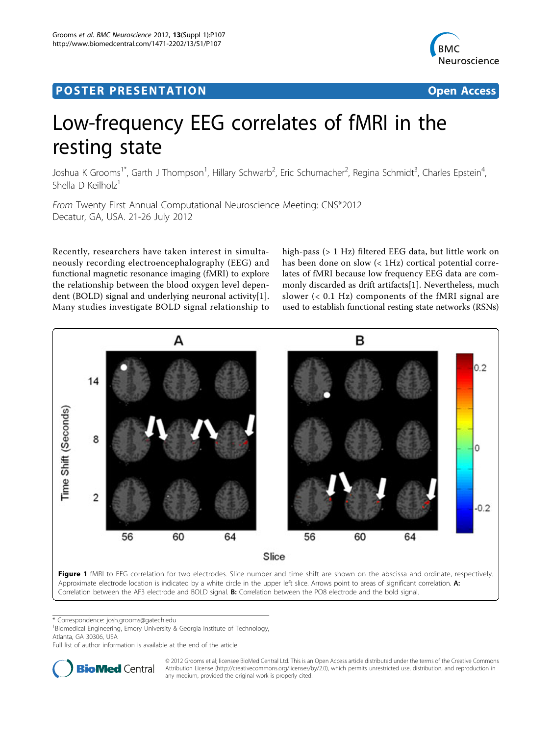## <span id="page-0-0"></span>Post Experimental Police in the St English Police in the St English Police in the St English Police in the St<br>Police in the St English Police in the St English Police in the St English Police in the St English Police in



# Low-frequency EEG correlates of fMRI in the resting state

Joshua K Grooms<sup>1\*</sup>, Garth J Thompson<sup>1</sup>, Hillary Schwarb<sup>2</sup>, Eric Schumacher<sup>2</sup>, Regina Schmidt<sup>3</sup>, Charles Epstein<sup>4</sup> , Shella D Keilholz<sup>1</sup>

From Twenty First Annual Computational Neuroscience Meeting: CNS\*2012 Decatur, GA, USA. 21-26 July 2012

Recently, researchers have taken interest in simultaneously recording electroencephalography (EEG) and functional magnetic resonance imaging (fMRI) to explore the relationship between the blood oxygen level dependent (BOLD) signal and underlying neuronal activity[[1](#page-1-0)]. Many studies investigate BOLD signal relationship to

high-pass (> 1 Hz) filtered EEG data, but little work on has been done on slow (< 1Hz) cortical potential correlates of fMRI because low frequency EEG data are commonly discarded as drift artifacts[\[1](#page-1-0)]. Nevertheless, much slower (< 0.1 Hz) components of the fMRI signal are used to establish functional resting state networks (RSNs)



\* Correspondence: [josh.grooms@gatech.edu](mailto:josh.grooms@gatech.edu)

<sup>1</sup> Biomedical Engineering, Emory University & Georgia Institute of Technology, Atlanta, GA 30306, USA

Full list of author information is available at the end of the article



© 2012 Grooms et al; licensee BioMed Central Ltd. This is an Open Access article distributed under the terms of the Creative Commons Attribution License [\(http://creativecommons.org/licenses/by/2.0](http://creativecommons.org/licenses/by/2.0)), which permits unrestricted use, distribution, and reproduction in any medium, provided the original work is properly cited.